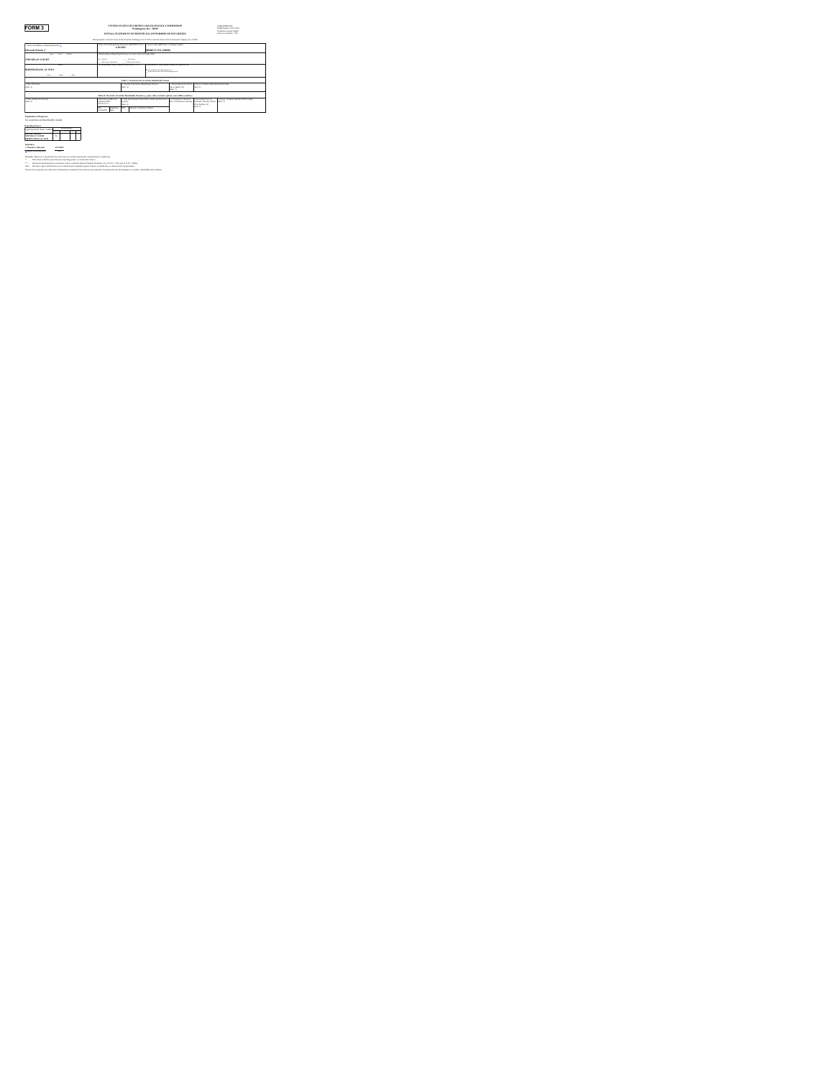**FORM 3**<br> **UNITED STATES SECURITIES AND EXCHANGE COMMISSION OMB APPROVAL OMB Number: 3235-0104**<br>
Determination and the burden average burden

| INITIAL STATEMENT OF RENEWLY 41 OWNERGIJE OF SECTION ISS      |                                                                |                                                                                           |                                                            |                                                                                              |                                                                                                                             |                                                                                                    | <b>Integral govern basies</b><br>loan or move- 0.5 |  |
|---------------------------------------------------------------|----------------------------------------------------------------|-------------------------------------------------------------------------------------------|------------------------------------------------------------|----------------------------------------------------------------------------------------------|-----------------------------------------------------------------------------------------------------------------------------|----------------------------------------------------------------------------------------------------|----------------------------------------------------|--|
|                                                               |                                                                |                                                                                           |                                                            |                                                                                              | Filed mensures to Nortion 14(a) of the Nevertien Exchange Act of 1974 or Nexture 38(a) of the Investment Common Act of 1980 |                                                                                                    |                                                    |  |
| 1 Name and Address of Reporting Person                        |                                                                | DatraChres Bosanos Supremi (MMCO/YYYY) 11 Sour New and Tolor or Dados Roshol<br>6/18/2022 |                                                            |                                                                                              |                                                                                                                             |                                                                                                    |                                                    |  |
| Edwards Panela J                                              |                                                                |                                                                                           |                                                            | <b>HIRESTT INC BERRI</b>                                                                     |                                                                                                                             |                                                                                                    |                                                    |  |
| <b>Can</b><br>near<br><b>San</b>                              |                                                                | 4. Relationship of Resorting Person(s) to Juneer (Chick of areducible)                    |                                                            |                                                                                              |                                                                                                                             |                                                                                                    |                                                    |  |
| <b>2700 MILAN COURT</b>                                       | A Honda                                                        | <b>STATISTICS</b><br>and considerable as descri-<br><b>CARD COMPANY</b>                   |                                                            |                                                                                              |                                                                                                                             |                                                                                                    |                                                    |  |
| $\overline{a}$                                                |                                                                | If Amendment, Date Original Filed meteory revo-                                           |                                                            | <b>Individual or Joint Corner Pilmer to A Notice &amp; Links</b>                             |                                                                                                                             |                                                                                                    |                                                    |  |
| <b>HEMINGHAM, AL 35211</b>                                    |                                                                |                                                                                           |                                                            | 5. Forest Bull for the Bureau in Person<br>Form Suit by New York City Republic Prices        |                                                                                                                             |                                                                                                    |                                                    |  |
| <b>STATE</b><br><b>COLLEGE</b>                                |                                                                |                                                                                           |                                                            |                                                                                              |                                                                                                                             |                                                                                                    |                                                    |  |
|                                                               |                                                                |                                                                                           |                                                            | Table L. New Devices to New Min. Rowsfolder Crowell                                          |                                                                                                                             |                                                                                                    |                                                    |  |
| 1 Tale of Source<br>dear do                                   |                                                                |                                                                                           | 2. Amount of Recursion Beneficial's Owned.<br><b>Don D</b> |                                                                                              | 1 Octomber From Door<br>Due Indonesia<br>Dear Fr                                                                            | I. Nature of Indones Bonefictal Ownership<br><b>Sea Fr</b>                                         |                                                    |  |
|                                                               |                                                                |                                                                                           |                                                            | Tells II., Detroite Kenetie, Bearfields Orgel (ex. aut. off), warrant, estima concretibrates |                                                                                                                             |                                                                                                    |                                                    |  |
| 1. Tole of Dennade Security<br>dealer dir.                    | Day Tamysally and<br><b>European Date</b><br><b>CONTRACTOR</b> | <b>Sources</b><br>Detroit                                                                 |                                                            | 3. Telly and Amenast of Necessities Underlying Derivative                                    | <b>Comman in Tamour</b>                                                                                                     | 1. Ownership Form of<br>Nor of Detroited Search Detroited Search: Deed, Geo. 6.<br>Di artistimo di | 4. Never of Indone Benefa at Ownershire            |  |
|                                                               | <b>Contraction</b><br>ber<br><b>Sentador</b><br><b>Charles</b> | tion                                                                                      | <b>Leased or Number of Wages</b>                           |                                                                                              |                                                                                                                             | Sea to                                                                                             |                                                    |  |
| Enderston of Sciences<br>No sequities are beneficially owned. |                                                                |                                                                                           |                                                            |                                                                                              |                                                                                                                             |                                                                                                    |                                                    |  |
| <b>Report Follows</b>                                         |                                                                |                                                                                           |                                                            |                                                                                              |                                                                                                                             |                                                                                                    |                                                    |  |

No securities are beneficially owned. **Reporting Owners** Reporting Owner Name / Address Relationships Director10% OwnerOfficerOther **Edwards Pamela J 2700 MILAN COURT BIRMINGHAM, AL <sup>35211</sup> <sup>X</sup> Signatures /s/ Pamela J. Edwards 6/15/2022** [\\*](#page-0-0)\*Signature of Reporting Person Date Reminder: Report on a separate line for each class of securities beneficially owned directly or indirectly. **\*** If the form is filed by more than one reporting person, *see* Instruction 5(b)(v). **\*\*** Intentional misstatements or omissions of facts constitute Federal Criminal Violations. *See* 18 U.S.C. 1001 and 15 U.S.C. 78ff(a). Note: File three copies of this Form, one of which must be manually signed. If space is insufficient, *see* Instruction 6 for procedure. Persons who respond to the collection of information contained in this form are not required to respond unless the form displays a currently valid OMB control number.

<span id="page-0-0"></span>